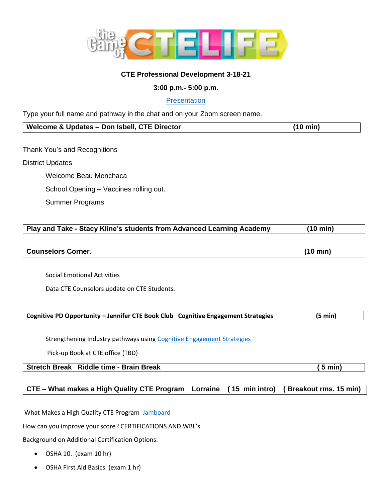

# **CTE Professional Development 3-18-21**

# **3:00 p.m.- 5:00 p.m.**

# **[Presentation](https://sausd-my.sharepoint.com/:p:/g/personal/ruth_abatzoglou_sausd_us/EfoJFtVsMBFBhSomLHvf79MBWgYsa0XtVEZh_M6k3UZ-6Q?e=XdqpOr)**

Type your full name and pathway in the chat and on your Zoom screen name.

# **Welcome & Updates – Don Isbell, CTE Director (10 min)**

Thank You's and Recognitions

# District Updates

Welcome Beau Menchaca School Opening – Vaccines rolling out.

Summer Programs

# **Play and Take - Stacy Kline's students from Advanced Learning Academy (10 min)**

**Counselors Corner. (10 min)**

Social Emotional Activities

Data CTE Counselors update on CTE Students.

# **Cognitive PD Opportunity – Jennifer CTE Book Club Cognitive Engagement Strategies (5 min)**

Strengthening Industry pathways using [Cognitive Engagement](https://forms.gle/Qr5xpokHbyraQT7T7) Strategies

Pick-up Book at CTE office (TBD)

**Stretch Break Riddle time - Brain Break ( 5 min)**

# **CTE – What makes a High Quality CTE Program Lorraine ( 15 min intro) ( Breakout rms. 15 min)**

What Makes a High Quality CTE Program [Jamboard](https://jamboard.google.com/d/1XFS5akSHehYZYut2UZAdiGT5in5ri4o4XcpO0G22-k8/edit?usp=sharing)

How can you improve your score? CERTIFICATIONS AND WBL's

Background on Additional Certification Options:

- OSHA 10. (exam 10 hr)
- OSHA First Aid Basics. (exam 1 hr)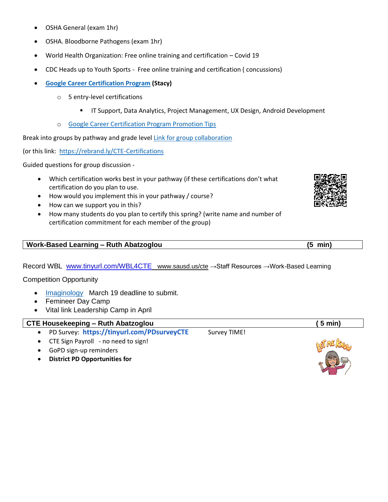- OSHA General (exam 1hr)
- OSHA. Bloodborne Pathogens (exam 1hr)
- World Health Organization: Free online training and certification Covid 19
- CDC Heads up to Youth Sports Free online training and certification ( concussions)
- **[Google Career Certification Program](https://grow.google/certificates/#?modal_active=none) (Stacy)**
	- o 5 entry-level certifications
		- **■** IT Support, Data Analytics, Project Management, UX Design, Android Development
	- o [Google Career Certification Program Promotion Tips](https://docs.google.com/document/d/1IqmjPPatMP5lazV53fdFqQfADFeUKi_EVZApSo1IGM0/edit)

Break into groups by pathway and grade leve[l Link for group collaboration](https://docs.google.com/document/d/1Z5qWkwOYXNGB_hkeJTBHMbn-VrZjyCyFn06aF7vl5wM/edit?usp=sharing) 

(or this link: <https://rebrand.ly/CTE-Certifications>

Guided questions for group discussion -

- Which certification works best in your pathway (if these certifications don't what certification do you plan to use.
- How would you implement this in your pathway / course?
- How can we support you in this?
- How many students do you plan to certify this spring? (write name and number of certification commitment for each member of the group)

#### **Work-Based Learning – Ruth Abatzoglou (5 min)**

Record WBL [www.tinyurl.com/WBL4CTE](http://www.tinyurl.com/WBL4CTE) www.sausd.us/cte →Staff Resources →Work-Based Learning

Competition Opportunity

- [Imaginology](https://myemail.constantcontact.com/2021-Imaginology-Youth-Entries-Are-Now-Open-.html?soid=1102372137392&aid=-84TM8zfpNk) March 19 deadline to submit.
- Femineer Day Camp
- Vital link Leadership Camp in April

# **CTE Housekeeping – Ruth Abatzoglou ( 5 min)**

- PD Survey: <https://tinyurl.com/PDsurveyCTE> Survey TIME!
- CTE Sign Payroll no need to sign!
- GoPD sign-up reminders
- **District PD Opportunities for**





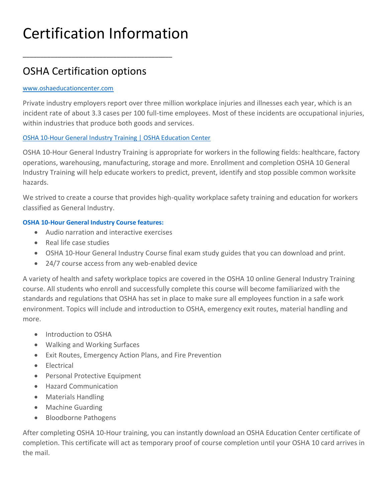# Certification Information

\_\_\_\_\_\_\_\_\_\_\_\_\_\_\_\_\_\_\_\_\_\_\_\_\_\_\_\_\_\_\_\_\_\_\_\_\_\_\_\_\_\_\_

# OSHA Certification options

### [www.oshaeducationcenter.com](http://www.oshaeducationcenter.com/)

Private industry employers report over three million workplace injuries and illnesses each year, which is an incident rate of about 3.3 cases per 100 full-time employees. Most of these incidents are occupational injuries, within industries that produce both goods and services.

# [OSHA 10-Hour General Industry Training | OSHA Education Center](https://nam04.safelinks.protection.outlook.com/?url=https%3A%2F%2Fwww.oshaeducationcenter.com%2Fosha-10-hour-general-industry%2F&data=04%7C01%7CRuth.Abatzoglou%40SAUSD.US%7Cbf7852ab3b4c4b5e9e6108d8b297a8d1%7C423a588323f3494690cd39bfb05ed5d0%7C0%7C0%7C637455711735165528%7CUnknown%7CTWFpbGZsb3d8eyJWIjoiMC4wLjAwMDAiLCJQIjoiV2luMzIiLCJBTiI6Ik1haWwiLCJXVCI6Mn0%3D%7C1000&sdata=OwP%2Ft%2FxbFxvJExhrwujRZ0NYQ3Zq6WEPenXeZAbIi%2Fs%3D&reserved=0)

OSHA 10-Hour General Industry Training is appropriate for workers in the following fields: healthcare, factory operations, warehousing, manufacturing, storage and more. Enrollment and completion OSHA 10 General Industry Training will help educate workers to predict, prevent, identify and stop possible common worksite hazards.

We strived to create a course that provides high-quality workplace safety training and education for workers classified as General Industry.

# **OSHA 10-Hour General Industry Course features:**

- Audio narration and interactive exercises
- Real life case studies
- OSHA 10-Hour General Industry Course final exam study guides that you can download and print.
- 24/7 course access from any web-enabled device

A variety of health and safety workplace topics are covered in the OSHA 10 online General Industry Training course. All students who enroll and successfully complete this course will become familiarized with the standards and regulations that OSHA has set in place to make sure all employees function in a safe work environment. Topics will include and introduction to OSHA, emergency exit routes, material handling and more.

- Introduction to OSHA
- Walking and Working Surfaces
- Exit Routes, Emergency Action Plans, and Fire Prevention
- Electrical
- Personal Protective Equipment
- Hazard Communication
- Materials Handling
- Machine Guarding
- Bloodborne Pathogens

After completing OSHA 10-Hour training, you can instantly download an OSHA Education Center certificate of completion. This certificate will act as temporary proof of course completion until your OSHA 10 card arrives in the mail.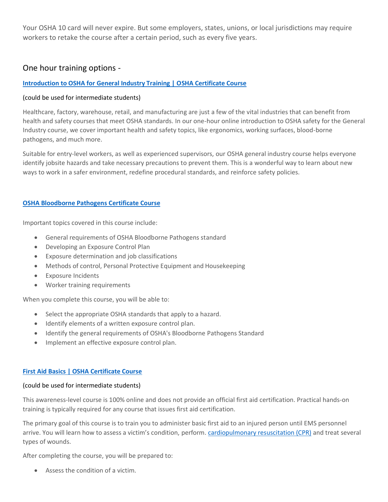Your OSHA 10 card will never expire. But some employers, states, unions, or local jurisdictions may require workers to retake the course after a certain period, such as every five years.

# One hour training options -

### **[Introduction to OSHA for General Industry Training | OSHA Certificate Course](https://nam04.safelinks.protection.outlook.com/?url=https%3A%2F%2Fwww.oshaeducationcenter.com%2Fintro-general-industry-certificate%2F&data=04%7C01%7CRuth.Abatzoglou%40SAUSD.US%7Cbf7852ab3b4c4b5e9e6108d8b297a8d1%7C423a588323f3494690cd39bfb05ed5d0%7C0%7C0%7C637455711735175480%7CUnknown%7CTWFpbGZsb3d8eyJWIjoiMC4wLjAwMDAiLCJQIjoiV2luMzIiLCJBTiI6Ik1haWwiLCJXVCI6Mn0%3D%7C1000&sdata=0Fqu0Y%2BElSLa82okzz0yGmrC1B%2BD3xQjnoWQ8No3YTo%3D&reserved=0)**

#### (could be used for intermediate students)

Healthcare, factory, warehouse, retail, and manufacturing are just a few of the vital industries that can benefit from health and safety courses that meet OSHA standards. In our one-hour online introduction to OSHA safety for the General Industry course, we cover important health and safety topics, like ergonomics, working surfaces, blood-borne pathogens, and much more.

Suitable for entry-level workers, as well as experienced supervisors, our OSHA general industry course helps everyone identify jobsite hazards and take necessary precautions to prevent them. This is a wonderful way to learn about new ways to work in a safer environment, redefine procedural standards, and reinforce safety policies.

#### **[OSHA Bloodborne Pathogens Certificate Course](https://www.oshaeducationcenter.com/compliance-training/bloodborne-pathogens-certificate/)**

Important topics covered in this course include:

- General requirements of OSHA Bloodborne Pathogens standard
- Developing an Exposure Control Plan
- Exposure determination and job classifications
- Methods of control, Personal Protective Equipment and Housekeeping
- Exposure Incidents
- Worker training requirements

When you complete this course, you will be able to:

- Select the appropriate OSHA standards that apply to a hazard.
- Identify elements of a written exposure control plan.
- Identify the general requirements of OSHA's Bloodborne Pathogens Standard
- Implement an effective exposure control plan.

#### **[First Aid Basics | OSHA Certificate Course](https://nam04.safelinks.protection.outlook.com/?url=https%3A%2F%2Fwww.oshaeducationcenter.com%2Fcompliance-training%2Ffirst-aid-certificate%2F&data=04%7C01%7CRuth.Abatzoglou%40SAUSD.US%7Cbf7852ab3b4c4b5e9e6108d8b297a8d1%7C423a588323f3494690cd39bfb05ed5d0%7C0%7C0%7C637455711735185435%7CUnknown%7CTWFpbGZsb3d8eyJWIjoiMC4wLjAwMDAiLCJQIjoiV2luMzIiLCJBTiI6Ik1haWwiLCJXVCI6Mn0%3D%7C1000&sdata=BsgcVK3I61Qu7P4BBV%2FeVNgg6mUm8caZzhZ2zUlChPU%3D&reserved=0)**

#### (could be used for intermediate students)

This awareness-level course is 100% online and does not provide an official first aid certification. Practical hands-on training is typically required for any course that issues first aid certification.

The primary goal of this course is to train you to administer basic first aid to an injured person until EMS personnel arrive. You will learn how to assess a victim's condition, perform. [cardiopulmonary resuscitation \(CPR\)](https://www.oshaeducationcenter.com/compliance-training/cpr-training-certificate/) and treat several types of wounds.

After completing the course, you will be prepared to:

• Assess the condition of a victim.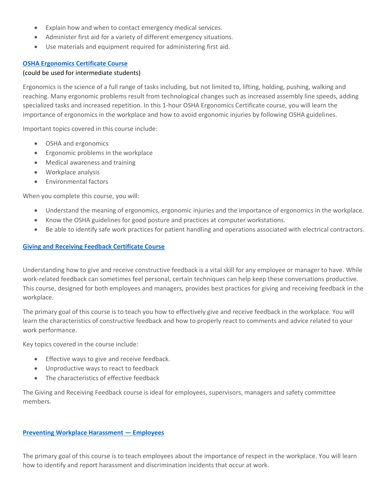- Explain how and when to contact emergency medical services.
- Administer first aid for a variety of different emergency situations.
- Use materials and equipment required for administering first aid.

#### **[OSHA Ergonomics Certificate Course](https://www.oshaeducationcenter.com/compliance-training/ergonomics-certificate/)**

#### (could be used for intermediate students)

Ergonomics is the science of a full range of tasks including, but not limited to, lifting, holding, pushing, walking and reaching. Many ergonomic problems result from technological changes such as increased assembly line speeds, adding specialized tasks and increased repetition. In this 1-hour OSHA Ergonomics Certificate course, you will learn the importance of ergonomics in the workplace and how to avoid ergonomic injuries by following OSHA guidelines.

Important topics covered in this course include:

- OSHA and ergonomics
- Ergonomic problems in the workplace
- Medical awareness and training
- Workplace analysis
- Environmental factors

When you complete this course, you will:

- Understand the meaning of ergonomics, ergonomic injuries and the importance of ergonomics in the workplace.
- Know the OSHA guidelines for good posture and practices at computer workstations.
- Be able to identify safe work practices for patient handling and operations associated with electrical contractors.

# **[Giving and Receiving Feedback Certificate Course](https://www.oshaeducationcenter.com/compliance-training/giving-and-receiving-feedback/)**

Understanding how to give and receive constructive feedback is a vital skill for any employee or manager to have. While work-related feedback can sometimes feel personal, certain techniques can help keep these conversations productive. This course, designed for both employees and managers, provides best practices for giving and receiving feedback in the workplace.

The primary goal of this course is to teach you how to effectively give and receive feedback in the workplace. You will learn the characteristics of constructive feedback and how to properly react to comments and advice related to your work performance.

Key topics covered in the course include:

- Effective ways to give and receive feedback.
- Unproductive ways to react to feedback
- The characteristics of effective feedback

The Giving and Receiving Feedback course is ideal for employees, supervisors, managers and safety committee members.

#### **[Preventing Workplace Harassment](https://www.oshaeducationcenter.com/compliance-training/preventing-workplace-harassment-employees/) — Employees**

The primary goal of this course is to teach employees about the importance of respect in the workplace. You will learn how to identify and report harassment and discrimination incidents that occur at work.